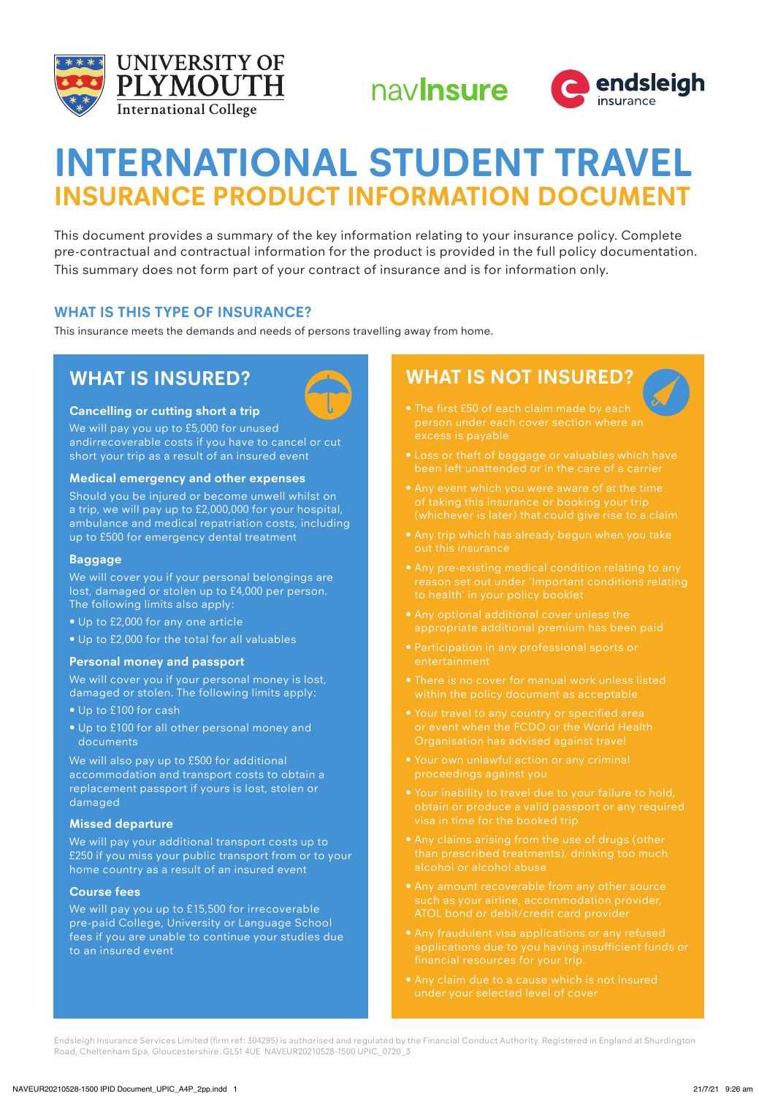





# **INTERNATIONAL STUDENT TRAVEL INSURANCE PRODUCT INFORMATION DOCUMENT**

This document provides a summary of the key information relating to your insurance policy. Complete pre-contractual and contractual information for the product is provided in the full policy documentation. This summary does not form part of your contract of insurance and is for information only.

## **WHAT IS THIS TYPE OF INSURANCE?**

This insurance meets the demands and needs of persons travelling away from home.

## **WHAT IS INSURED?**



### **Cancelling or cutting short a trip**

We will pay you up to £5,000 for unused andirrecoverable costs if you have to cancel or cut short your trip as a result of an insured event

#### **Medical emergency and other expenses**

Should you be injured or become unwell whilst on a trip, we will pay up to £2,000,000 for your hospital, ambulance and medical repatriation costs, including up to £500 for emergency dental treatment

#### **Baggage**

We will cover you if your personal belongings are lost, damaged or stolen up to £4,000 per person. The following limits also apply:

- Up to £2,000 for any one article
- Up to £2,000 for the total for all valuables

#### **Personal money and passport**

We will cover you if your personal money is lost, damaged or stolen. The following limits apply:

- Up to £100 for cash
- Up to £100 for all other personal money and documents

We will also pay up to £500 for additional accommodation and transport costs to obtain a replacement passport if yours is lost, stolen or damaged

#### **Missed departure**

We will pay your additional transport costs up to £250 if you miss your public transport from or to your home country as a result of an insured event

#### **Course fees**

We will pay you up to £15,500 for irrecoverable pre-paid College, University or Language School fees if you are unable to continue your studies due to an insured event

# **WHAT IS NOT INSURED?**

- person under each cover section where an excess is payable
- 
- 
- 
- reason set out under 'Important conditions relating to health' in your policy booklet
- 
- Participation in any professional sports or entertainment
- 
- Your travel to any country or specified area or event when the FCDO or the World Health Organisation has advised against travel
- 
- Your inability to travel due to your failure to hold,
- alcohol or alcohol abuse
- ATOL bond or debit/credit card provider
- applications due to you having insufficient funds or
- under your selected level of cover

Endsleigh Insurance Services Limited (firm ref: 304295) is authorised and regulated by the Financial Conduct Authority. Registered in England at Shurdington Road, Cheltenham Spa, Gloucestershire. GL51 4UE NAVEUR20210528-1500 UPIC\_0720\_3